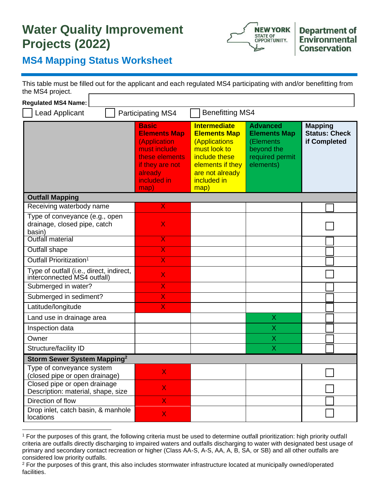## **Water Quality Improvement Projects (2022)**



## **MS4 Mapping Status Worksheet**

This table must be filled out for the applicant and each regulated MS4 participating with and/or benefitting from the MS4 project.

| <b>Regulated MS4 Name:</b>                                               |                                                                                                                                            |                                                                                                                                                            |                                                                                                   |                                                        |
|--------------------------------------------------------------------------|--------------------------------------------------------------------------------------------------------------------------------------------|------------------------------------------------------------------------------------------------------------------------------------------------------------|---------------------------------------------------------------------------------------------------|--------------------------------------------------------|
| <b>Benefitting MS4</b><br><b>Lead Applicant</b><br>Participating MS4     |                                                                                                                                            |                                                                                                                                                            |                                                                                                   |                                                        |
|                                                                          | <b>Basic</b><br><b>Elements Map</b><br>(Application<br>must include<br>these elements<br>if they are not<br>already<br>included in<br>map) | <b>Intermediate</b><br><b>Elements Map</b><br>(Applications<br>must look to<br>include these<br>elements if they<br>are not already<br>included in<br>map) | <b>Advanced</b><br><b>Elements Map</b><br>(Elements<br>beyond the<br>required permit<br>elements) | <b>Mapping</b><br><b>Status: Check</b><br>if Completed |
| <b>Outfall Mapping</b>                                                   |                                                                                                                                            |                                                                                                                                                            |                                                                                                   |                                                        |
| Receiving waterbody name                                                 | $\overline{\mathsf{X}}$                                                                                                                    |                                                                                                                                                            |                                                                                                   |                                                        |
| Type of conveyance (e.g., open<br>drainage, closed pipe, catch<br>basin) | $\overline{\mathsf{X}}$                                                                                                                    |                                                                                                                                                            |                                                                                                   |                                                        |
| Outfall material                                                         | $\overline{\textsf{X}}$                                                                                                                    |                                                                                                                                                            |                                                                                                   |                                                        |
| <b>Outfall shape</b>                                                     | $\overline{\mathsf{X}}$                                                                                                                    |                                                                                                                                                            |                                                                                                   |                                                        |
| Outfall Prioritization <sup>1</sup>                                      | $\overline{\mathsf{X}}$                                                                                                                    |                                                                                                                                                            |                                                                                                   |                                                        |
| Type of outfall (i.e., direct, indirect,<br>interconnected MS4 outfall)  | $\overline{\mathsf{X}}$                                                                                                                    |                                                                                                                                                            |                                                                                                   |                                                        |
| Submerged in water?                                                      | X                                                                                                                                          |                                                                                                                                                            |                                                                                                   |                                                        |
| Submerged in sediment?                                                   | X                                                                                                                                          |                                                                                                                                                            |                                                                                                   |                                                        |
| Latitude/longitude                                                       | X                                                                                                                                          |                                                                                                                                                            |                                                                                                   |                                                        |
| Land use in drainage area                                                |                                                                                                                                            |                                                                                                                                                            | X                                                                                                 |                                                        |
| Inspection data                                                          |                                                                                                                                            |                                                                                                                                                            | X                                                                                                 |                                                        |
| Owner                                                                    |                                                                                                                                            |                                                                                                                                                            | Χ                                                                                                 |                                                        |
| Structure/facility ID                                                    |                                                                                                                                            |                                                                                                                                                            | $\overline{\mathsf{X}}$                                                                           |                                                        |
| Storm Sewer System Mapping <sup>2</sup>                                  |                                                                                                                                            |                                                                                                                                                            |                                                                                                   |                                                        |
| Type of conveyance system<br>(closed pipe or open drainage)              | X.                                                                                                                                         |                                                                                                                                                            |                                                                                                   |                                                        |
| Closed pipe or open drainage<br>Description: material, shape, size       | $\overline{\mathsf{X}}$                                                                                                                    |                                                                                                                                                            |                                                                                                   |                                                        |
| Direction of flow                                                        | X                                                                                                                                          |                                                                                                                                                            |                                                                                                   |                                                        |
| Drop inlet, catch basin, & manhole<br>locations                          | $\overline{\mathsf{X}}$                                                                                                                    |                                                                                                                                                            |                                                                                                   |                                                        |

<sup>1</sup> For the purposes of this grant, the following criteria must be used to determine outfall prioritization: high priority outfall criteria are outfalls directly discharging to impaired waters and outfalls discharging to water with designated best usage of primary and secondary contact recreation or higher (Class AA-S, A-S, AA, A, B, SA, or SB) and all other outfalls are considered low priority outfalls.

<sup>&</sup>lt;sup>2</sup> For the purposes of this grant, this also includes stormwater infrastructure located at municipally owned/operated facilities.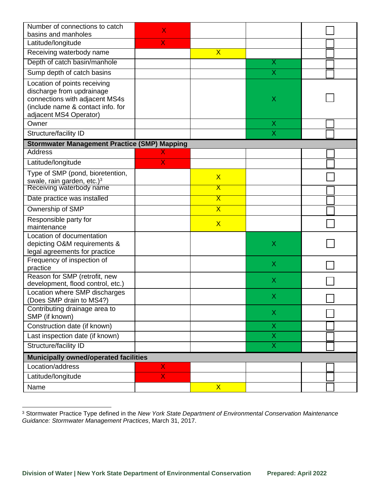| Number of connections to catch<br>basins and manholes                                                                                                      | X                       |                         |                           |  |
|------------------------------------------------------------------------------------------------------------------------------------------------------------|-------------------------|-------------------------|---------------------------|--|
| Latitude/longitude                                                                                                                                         | X                       |                         |                           |  |
| Receiving waterbody name                                                                                                                                   |                         | $\overline{\mathsf{X}}$ |                           |  |
| Depth of catch basin/manhole                                                                                                                               |                         |                         | Χ                         |  |
| Sump depth of catch basins                                                                                                                                 |                         |                         | X                         |  |
| Location of points receiving<br>discharge from updrainage<br>connections with adjacent MS4s<br>(include name & contact info. for<br>adjacent MS4 Operator) |                         |                         | X                         |  |
| Owner                                                                                                                                                      |                         |                         | X                         |  |
| Structure/facility ID                                                                                                                                      |                         |                         | X                         |  |
| <b>Stormwater Management Practice (SMP) Mapping</b>                                                                                                        |                         |                         |                           |  |
| <b>Address</b>                                                                                                                                             |                         |                         |                           |  |
| Latitude/longitude                                                                                                                                         | X                       |                         |                           |  |
| Type of SMP (pond, bioretention,<br>swale, rain garden, etc.) <sup>3</sup>                                                                                 |                         | $\overline{\mathsf{X}}$ |                           |  |
| Receiving waterbody name                                                                                                                                   |                         | $\overline{\textsf{x}}$ |                           |  |
| Date practice was installed                                                                                                                                |                         | $\overline{\textsf{X}}$ |                           |  |
| Ownership of SMP                                                                                                                                           |                         | $\overline{\mathsf{X}}$ |                           |  |
| Responsible party for<br>maintenance                                                                                                                       |                         | $\mathsf{X}$            |                           |  |
| Location of documentation<br>depicting O&M requirements &<br>legal agreements for practice                                                                 |                         |                         | $\sf X$                   |  |
| Frequency of inspection of<br>practice                                                                                                                     |                         |                         | X                         |  |
| Reason for SMP (retrofit, new<br>development, flood control, etc.)                                                                                         |                         |                         | X                         |  |
| Location where SMP discharges<br>(Does SMP drain to MS4?)                                                                                                  |                         |                         | Χ                         |  |
| Contributing drainage area to<br>SMP (if known)                                                                                                            |                         |                         | X                         |  |
| Construction date (if known)                                                                                                                               |                         |                         | $\boldsymbol{\mathsf{X}}$ |  |
| Last inspection date (if known)                                                                                                                            |                         |                         | X                         |  |
| Structure/facility ID                                                                                                                                      |                         |                         | $\overline{\mathsf{X}}$   |  |
| <b>Municipally owned/operated facilities</b>                                                                                                               |                         |                         |                           |  |
| Location/address                                                                                                                                           | X                       |                         |                           |  |
| Latitude/longitude                                                                                                                                         | $\overline{\mathsf{X}}$ |                         |                           |  |
| Name                                                                                                                                                       |                         | $\mathsf{X}$            |                           |  |

<sup>3</sup> Stormwater Practice Type defined in the *New York State Department of Environmental Conservation Maintenance Guidance: Stormwater Management Practices*, March 31, 2017.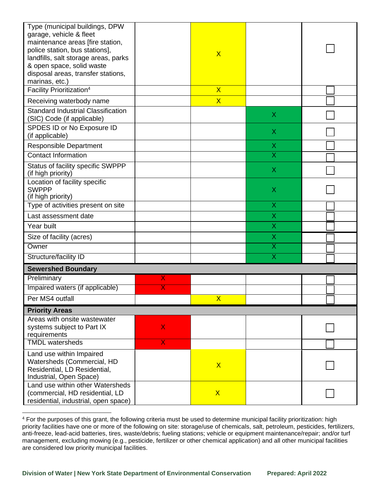| Type (municipal buildings, DPW<br>garage, vehicle & fleet<br>maintenance areas [fire station,<br>police station, bus stations],<br>landfills, salt storage areas, parks<br>& open space, solid waste<br>disposal areas, transfer stations,<br>marinas, etc.) |              | $\overline{\mathsf{X}}$ |                           |  |  |
|--------------------------------------------------------------------------------------------------------------------------------------------------------------------------------------------------------------------------------------------------------------|--------------|-------------------------|---------------------------|--|--|
| Facility Prioritization <sup>4</sup>                                                                                                                                                                                                                         |              | $\overline{\mathsf{X}}$ |                           |  |  |
| Receiving waterbody name                                                                                                                                                                                                                                     |              | $\overline{\mathsf{X}}$ |                           |  |  |
| <b>Standard Industrial Classification</b><br>(SIC) Code (if applicable)                                                                                                                                                                                      |              |                         | Χ                         |  |  |
| SPDES ID or No Exposure ID<br>(if applicable)                                                                                                                                                                                                                |              |                         | X                         |  |  |
| <b>Responsible Department</b>                                                                                                                                                                                                                                |              |                         | X                         |  |  |
| <b>Contact Information</b>                                                                                                                                                                                                                                   |              |                         | $\overline{\sf x}$        |  |  |
| Status of facility specific SWPPP<br>(if high priority)                                                                                                                                                                                                      |              |                         | $\boldsymbol{\mathsf{X}}$ |  |  |
| Location of facility specific<br><b>SWPPP</b><br>(if high priority)                                                                                                                                                                                          |              |                         | Χ                         |  |  |
| Type of activities present on site                                                                                                                                                                                                                           |              |                         | X                         |  |  |
| Last assessment date                                                                                                                                                                                                                                         |              |                         | X                         |  |  |
| Year built                                                                                                                                                                                                                                                   |              |                         | Χ                         |  |  |
| Size of facility (acres)                                                                                                                                                                                                                                     |              |                         | Χ                         |  |  |
| Owner                                                                                                                                                                                                                                                        |              |                         | $\overline{\textsf{x}}$   |  |  |
| Structure/facility ID                                                                                                                                                                                                                                        |              |                         | $\overline{\mathsf{x}}$   |  |  |
| <b>Sewershed Boundary</b>                                                                                                                                                                                                                                    |              |                         |                           |  |  |
| Preliminary                                                                                                                                                                                                                                                  | X            |                         |                           |  |  |
| Impaired waters (if applicable)                                                                                                                                                                                                                              | х            |                         |                           |  |  |
| Per MS4 outfall                                                                                                                                                                                                                                              |              | $\overline{\mathsf{X}}$ |                           |  |  |
| <b>Priority Areas</b>                                                                                                                                                                                                                                        |              |                         |                           |  |  |
| Areas with onsite wastewater<br>systems subject to Part IX<br>requirements                                                                                                                                                                                   | $\mathsf{X}$ |                         |                           |  |  |
| <b>TMDL</b> watersheds                                                                                                                                                                                                                                       | $\mathsf{X}$ |                         |                           |  |  |
| Land use within Impaired<br>Watersheds (Commercial, HD<br>Residential, LD Residential,<br>Industrial, Open Space)                                                                                                                                            |              | $\overline{\mathsf{X}}$ |                           |  |  |
| Land use within other Watersheds<br>(commercial, HD residential, LD<br>residential, industrial, open space)                                                                                                                                                  |              | $\mathsf{X}$            |                           |  |  |

<sup>4</sup> For the purposes of this grant, the following criteria must be used to determine municipal facility prioritization: high priority facilities have one or more of the following on site: storage/use of chemicals, salt, petroleum, pesticides, fertilizers, anti-freeze, lead-acid batteries, tires, waste/debris; fueling stations; vehicle or equipment maintenance/repair; and/or turf management, excluding mowing (e.g., pesticide, fertilizer or other chemical application) and all other municipal facilities are considered low priority municipal facilities.